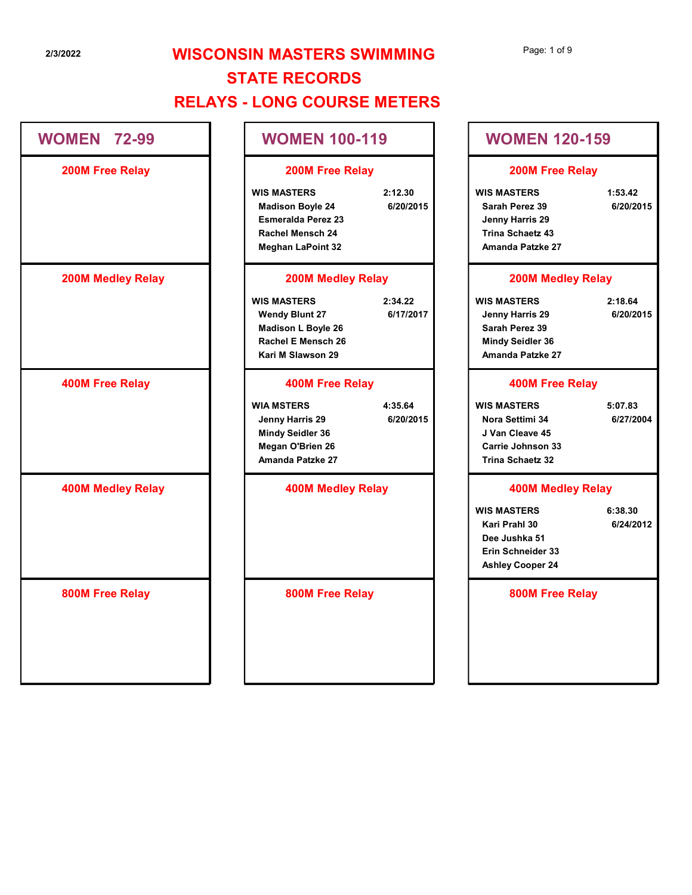WIS MASTERS 2:12.30 WIS MASTERS 1:53.42 Madison Boyle 24 6/20/2015 Sarah Perez 39 6/20/2015 Esmeralda Perez 23 Jenny Harris 29 Rachel Mensch 24 Trina Schaetz 43 200M Free Relay 200M Free Relay Page: 1 of 9<br>
WOMEN 120-159<br>
200M Free Relay<br>
WIS MASTERS 1:53.42<br>
Sarah Perez 39 6/20/2015<br>
Jenny Harris 29<br>
Amanda Patzke 27<br>
200M Medley Relay<br>
WIS MASTERS 2:18.64<br>
Jenny Harris 29 6/20/2015<br>
Sarah Perez 39 6/20/2015<br>
S

#### 200M Medley Relay 200M Medley Relay

Wendy Blunt 27 6/17/2017 Jenny Harris 29 6/20/2015 Madison L Boyle 26 Sarah Perez 39 Rachel E Mensch 26 Mindy Seidler 36 Kari M Slawson 29 Amanda Patzke 27

### 400M Free Relay 400M Free Relay

Jenny Harris 29 6/20/2015 Nora Settimi 34 6/27/2004 Mindy Seidler 36 J Van Cleave 45 Megan O'Brien 26 Carrie Johnson 33 Amanda Patzke 27 Trina Schaetz 32 WOMEN 120-159<br>
200M Free Relay<br>
WIS MASTERS 1:53.42<br>
Sarah Perez 39 6/20/2015<br>
Jenny Harris 29<br>
Trina Schaetz 43<br>
Amanda Patzke 27<br>
200M Medley Relay<br>
WIS MASTERS 2:18.64<br>
Jenny Harris 29 6/20/2015<br>
Sarah Perez 39<br>
Mindy S Jenny Harris 29<br>
Trina Schaetz 43<br>
Amanda Patzke 27<br>
200M Medley Relay<br>
WIS MASTERS
2:18.64<br>
Jenny Harris 29<br>
Sarah Perez 39<br>
Mindy Seidler 36<br>
Amanda Patzke 27<br>
400M Free Relay<br>
WIS MASTERS
5:07.83<br>
Nora Settimi 34<br>
J Van

## 400M Medley Relay 400M Medley Relay

| <b>STATE RECORDS</b>                                                                                                                                      |                                                                                                                                |
|-----------------------------------------------------------------------------------------------------------------------------------------------------------|--------------------------------------------------------------------------------------------------------------------------------|
| <b>RELAYS - LONG COURSE METERS</b>                                                                                                                        |                                                                                                                                |
| <b>WOMEN 100-119</b>                                                                                                                                      | <b>WOMEN 120-159</b>                                                                                                           |
| 200M Free Relay                                                                                                                                           | 200M Free Relay                                                                                                                |
| <b>WIS MASTERS</b><br>2:12.30<br><b>Madison Boyle 24</b><br>6/20/2015<br><b>Esmeralda Perez 23</b><br><b>Rachel Mensch 24</b><br><b>Meghan LaPoint 32</b> | <b>WIS MASTERS</b><br>1:53.42<br>6/20/2015<br>Sarah Perez 39<br>Jenny Harris 29<br><b>Trina Schaetz 43</b><br>Amanda Patzke 27 |
| <b>200M Medley Relay</b>                                                                                                                                  | <b>200M Medley Relay</b>                                                                                                       |
| <b>WIS MASTERS</b><br>2:34.22<br><b>Wendy Blunt 27</b><br>6/17/2017<br>Madison L Boyle 26<br>Rachel E Mensch 26<br>Kari M Slawson 29                      | <b>WIS MASTERS</b><br>2:18.64<br>6/20/2015<br>Jenny Harris 29<br>Sarah Perez 39<br><b>Mindy Seidler 36</b><br>Amanda Patzke 27 |
| <b>400M Free Relay</b>                                                                                                                                    | <b>400M Free Relay</b>                                                                                                         |
| <b>WIA MSTERS</b><br>4:35.64<br>6/20/2015<br>Jenny Harris 29<br><b>Mindy Seidler 36</b><br>Megan O'Brien 26<br>Amanda Patzke 27                           | <b>WIS MASTERS</b><br>5:07.83<br>6/27/2004<br>Nora Settimi 34<br>J Van Cleave 45<br>Carrie Johnson 33<br>Trina Schaetz 32      |
| <b>400M Medley Relay</b>                                                                                                                                  | <b>400M Medley Relay</b>                                                                                                       |
|                                                                                                                                                           | <b>WIS MASTERS</b><br>6:38.30<br>6/24/2012<br>Kari Prahl 30<br>Dee Jushka 51<br>Erin Schneider 33<br><b>Ashley Cooper 24</b>   |
| 800M Free Relay                                                                                                                                           | 800M Free Relay                                                                                                                |
|                                                                                                                                                           |                                                                                                                                |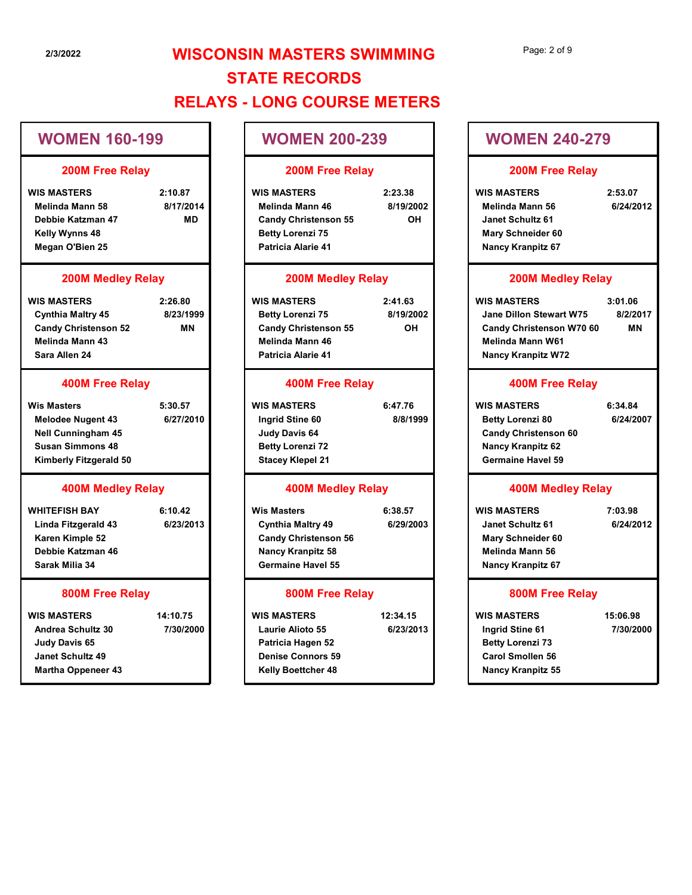# 2/3/2022 **WISCONSIN MASTERS SWIMMING** STATE RECORDS RELAYS - LONG COURSE METERS 23/2022<br>
23/2022<br>
WOMEN 160-199<br>
200M Free Relay<br>
WOMEN 200-239<br>
200M Free Relay<br>
Melinda Mann 58<br>
2:26.80<br>
Wester And Carly Christman 46<br>
Megan O'Bien 25<br>
2:26.80<br>
WIS MASTERS<br>
200M Medley Relay<br>
200M Medley Relay<br>
200M

## WOMEN 160-199

#### 200M Free Relay

| WIS MASTERS            | 2:10.87   | <b>WIS MASTERS</b>          | 2: |
|------------------------|-----------|-----------------------------|----|
| <b>Melinda Mann 58</b> | 8/17/2014 | Melinda Mann 46             |    |
| Debbie Katzman 47      | MD        | <b>Candy Christenson 55</b> |    |
| Kelly Wynns 48         |           | <b>Betty Lorenzi 75</b>     |    |
| Megan O'Bien 25        |           | <b>Patricia Alarie 41</b>   |    |

#### 200M Medley Relay

| <b>WIS MASTERS</b>          | 2:26.80   | <b>WIS MASTERS</b>          | 2:41.63   | <b>WIS MASTERS</b>      |
|-----------------------------|-----------|-----------------------------|-----------|-------------------------|
| <b>Cynthia Maltry 45</b>    | 8/23/1999 | <b>Betty Lorenzi 75</b>     | 8/19/2002 | <b>Jane Dillon Stew</b> |
| <b>Candy Christenson 52</b> | ΜN        | <b>Candy Christenson 55</b> | ΟH        | <b>Candy Christens</b>  |
| Melinda Mann 43             |           | Melinda Mann 46             |           | Melinda Mann W          |
| Sara Allen 24               |           | <b>Patricia Alarie 41</b>   |           | <b>Nancy Kranpitz V</b> |

#### 400M Free Relay

| <b>Wis Masters</b>        | 5:30.57   | <b>WIS MASTERS</b>      | 6:47.76  | <b>WIS MASTER</b>  |
|---------------------------|-----------|-------------------------|----------|--------------------|
| <b>Melodee Nugent 43</b>  | 6/27/2010 | Ingrid Stine 60         | 8/8/1999 | <b>Betty Lorer</b> |
| <b>Nell Cunningham 45</b> |           | Judy Davis 64           |          | <b>Candy Chri</b>  |
| <b>Susan Simmons 48</b>   |           | <b>Betty Lorenzi 72</b> |          | <b>Nancy Krar</b>  |
| Kimberly Fitzgerald 50    |           | <b>Stacey Klepel 21</b> |          | Germaine H         |

#### 400M Medley Relay

Karen Kimple 52 Debbie Katzman 46 Sarak Milia 34

#### 800M Free Relay

| <b>WIS MASTERS</b>        | 14:10.75  | <b>WIS MASTERS</b>        | 12:34.15  | <b>WIS MASTERS</b>   |
|---------------------------|-----------|---------------------------|-----------|----------------------|
| <b>Andrea Schultz 30</b>  | 7/30/2000 | <b>Laurie Alioto 55</b>   | 6/23/2013 | Ingrid Stine 6       |
| Judy Davis 65             |           | Patricia Hagen 52         |           | <b>Betty Lorenzi</b> |
| <b>Janet Schultz 49</b>   |           | <b>Denise Connors 59</b>  |           | <b>Carol Smoller</b> |
| <b>Martha Oppeneer 43</b> |           | <b>Kelly Boettcher 48</b> |           | <b>Nancy Kranpi</b>  |

## WOMEN 200-239

#### 200M Free Relay

| <b>IS MASTERS</b> | 2:10.87   | <b>WIS MASTERS</b>          | 2:23.38   |
|-------------------|-----------|-----------------------------|-----------|
| Melinda Mann 58   | 8/17/2014 | <b>Melinda Mann 46</b>      | 8/19/2002 |
| Debbie Katzman 47 | MD        | <b>Candy Christenson 55</b> | <b>OH</b> |
| Kelly Wynns 48    |           | <b>Betty Lorenzi 75</b>     |           |
| Megan O'Bien 25   |           | <b>Patricia Alarie 41</b>   |           |

#### 200M Medley Relay

#### 400M Free Relay

#### 400M Medley Relay

Linda Fitzgerald 43 6/23/2013 **Cynthia Maltry 49** 6/29/2003 Candy Christenson 56 Nancy Kranpitz 58 Germaine Havel 55

#### 800M Free Relay

- 
- 
- $\begin{tabular}{l|c|c|c|c} \hline \multicolumn{3}{c}{\textbf{WOMEN 160-199}} \\\hline \multicolumn{3}{c}{\textbf{200M Free Relay}} & \multicolumn{3}{c}{\textbf{200M Free Relay}} & \multicolumn{3}{c}{\textbf{200M Free Relay}} & \multicolumn{3}{c}{\textbf{200M Free Value} & \multicolumn{3}{c}{\textbf{200M Model} & \multicolumn{3}{c}{\textbf{200M Model} & \multicolumn{3}{c}{\textbf{200M Model} & \multicolumn{3}{c}{\textbf{200M Model} & \multicolumn{3}{c$ Nelbis kazima and Medley Relay<br>
WHITEFISH BAY 6:10.42<br>
WHITEFISH BAY 6:10.42<br>
Medley Relay<br>
Medley Relay<br>
WIS MASTERS<br>
Scribtis Mathry 45<br>
Scribtis Mathry 45<br>
Scribtis Mathry 45<br>
Scribtis Mathry 45<br>
Scribtis Mathry 45<br>
Scr Candy Christenson 52 MN<br>
Sara Allen 24<br>
Sara Allen 24<br>
Sara Allen 24<br>
Mistolae Nugent 43<br>
Wis Masters 5:30.57<br>
Wis Masters 5:30.57<br>
Mistolae Nugent 43<br>
Susan Simmons 46<br>
Susan Simmons 46<br>
Susan Simmons 46<br>
Anallen Carrier WIS MASTERS 2:23.38 WIS MASTERS 2:53.07 Melinda Mann 46 8/19/2002 Melinda Mann 56 6/24/2012 Candy Christenson 55 OH Janet Schultz 61 Betty Lorenzi 75 Mary Schneider 60 Patricia Alarie 41 Nancy Kranpitz 67 N MASTERS SWIMMING<br>
NOMEN 200-239<br>
200M Free Relay<br>
2:23.38<br>
Melinda Mann 46<br>
2:53.37<br>
Melinda Mann 46<br>
2:41.63<br>
2:41.63<br>
2:53.67<br>
2:53.07<br>
2:53.07<br>
Melinda Mann 46<br>
2:41.63<br>
2:41.63<br>
2:53.67<br>
2:53.07<br>
2:53.07<br>
2:53.07<br>
2: Betty Lorenzi 75 8/19/2002 Jane Dillon Stewart W75 8/2/2017 WOMEN 200-239<br>
200M Free Relay<br>
WIS MASTERS<br>
Melinda Mann 46<br>
Betty Lorenzi 75<br>
Patricia Alarie 41<br>
200M Medley Relay<br>
Christenson 55<br>
2:47.83<br>
Melinda Mann 56<br>
2:53.07<br>
Betty Lorenzi 75<br>
Patricia Alarie 41<br>
200M Medley Re Ingrid Stine 60 8/8/1999 Betty Lorenzi 80 6/24/2007 Candy Christenson 55<br>
Patricia Alarie 41<br>
Patricia Alarie 41<br>
Wis MASTERS<br>
Now Strainers and the Christenson Computer of the SMS (1.06<br>
Candy Christenson 55<br>
Wis MASTERS<br>
USBN 1999<br>
USBN 1999<br>
USBN 1999<br>
Nextricia Alarie 4 Cynthia Maltry 49 6/29/2003 | Janet Schultz 61 6/24/2012 Candy Christenson 55<br>
Medinda Manne Medinda Manne Wisters<br>
WIS MASTERS<br>
WIS MASTERS<br>
WIS MASTERS<br>
Note (1994)<br>
2000 Medind State of the SMS MASTERS<br>
2000 Medinda Manne Medinda Manne Medinda Manne Medinda Manne Medinda Mann 6/23/2013 Ingrid Stine 61 OH Candy Christenson W70 60 MN Candy Christenson W70 60 Page: 2 of 9<br>
WOMEN 240-279<br>
200M Free Relay<br>
WIS MASTERS 2:53.07<br>
Melinda Mann 56 6/24/2012<br>
Janet Schultz 61<br>
Mary Schneider 60<br>
Nancy Kranpitz 67<br>
200M Medley Relay<br>
WIS MASTERS 3:01.06<br>
Jane Dillon Stewart W75 8/2/2017 Melinda Mann W61 Nancy Kranpitz W72 WOMEN 240-279<br>
200M Free Relay<br>
WIS MASTERS 2:53.07<br>
Melinda Mann 56 6/24/2012<br>
Janet Schultz 61<br>
Mary Schneider 60<br>
Nancy Kranpitz 67<br>
200M Medley Relay<br>
WIS MASTERS 3:01.06<br>
Jane Dillon Stewart W75 8/2/2017<br>
Candy Christ Candy Christenson 60 Nancy Kranpitz 62 Germaine Havel 59 Janet Schultz 61<br>
Mary Schneider 60<br>
Nancy Kranpitz 67<br>
200M Medley Relay<br>
WIS MASTERS 3:01.06<br>
Jane Dillon Stewart W75 8/2/2017<br>
Candy Christenson W70 60<br>
MN Melinda Mann W61<br>
Nancy Kranpitz W72<br>
400M Free Relay<br>
WIS MAST Janet Schultz 61 Mary Schneider 60 Melinda Mann 56 Nancy Kranpitz 67 Candy Christenson W70 60<br>
Melinda Mann W61<br>
Nancy Kranpitz W72<br>
400M Free Relay<br>
WIS MASTERS 6:34.84<br>
Betty Lorenzi 80 6/24/2007<br>
Candy Christenson 60<br>
Nancy Kranpitz 62<br>
Germaine Havel 59<br>
400M Medley Relay<br>
WIS MASTERS 7 Betty Lorenzi 73 Carol Smollen 56 Nancy Kranpitz 55 7/30/2000 WOMEN 240-279 200M Free Relay 200M Medley Relay 400M Free Relay 400M Medley Relay 800M Free Relay MN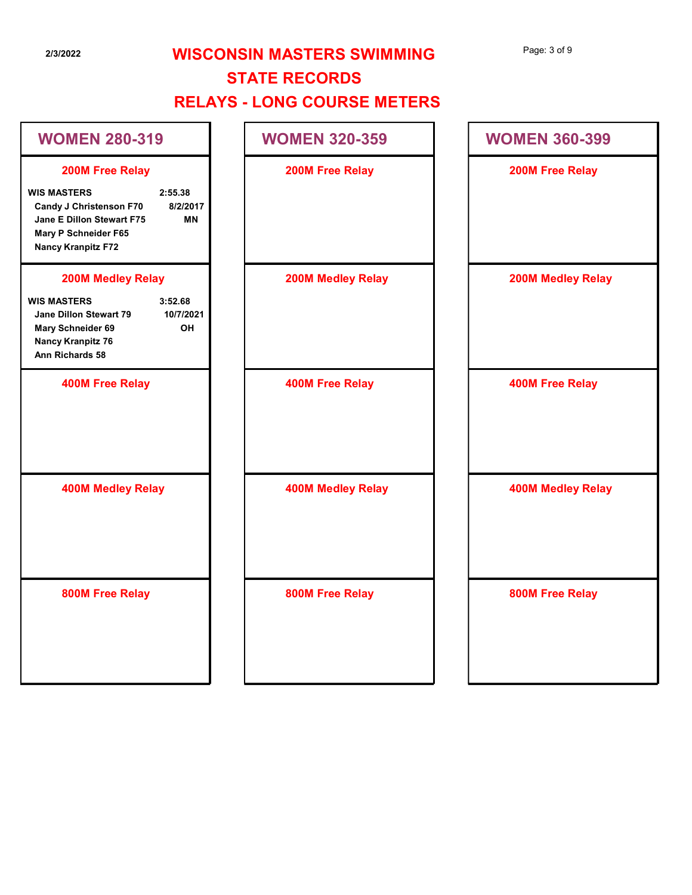# 2/3/2022 WISCONSIN MASTERS SWIMMING STATE RECORDS

## RELAYS - LONG COURSE METERS

| Page: 3 of 9 |  |  |
|--------------|--|--|
|--------------|--|--|

| 2/3/2022                                                                                                                                                                               | <b>WISCONSIN MASTERS SWIMMING</b><br><b>STATE RECORDS</b><br><b>RELAYS - LONG COURSE METERS</b> | Page: 3 of 9             |
|----------------------------------------------------------------------------------------------------------------------------------------------------------------------------------------|-------------------------------------------------------------------------------------------------|--------------------------|
| <b>WOMEN 280-319</b>                                                                                                                                                                   | <b>WOMEN 320-359</b>                                                                            | <b>WOMEN 360-399</b>     |
| 200M Free Relay<br><b>WIS MASTERS</b><br>2:55.38<br>Candy J Christenson F70<br>8/2/2017<br>Jane E Dillon Stewart F75<br><b>MN</b><br>Mary P Schneider F65<br><b>Nancy Kranpitz F72</b> | 200M Free Relay                                                                                 | 200M Free Relay          |
| <b>200M Medley Relay</b><br><b>WIS MASTERS</b><br>3:52.68<br>Jane Dillon Stewart 79<br>10/7/2021<br>OH<br>Mary Schneider 69<br><b>Nancy Kranpitz 76</b><br>Ann Richards 58             | <b>200M Medley Relay</b>                                                                        | <b>200M Medley Relay</b> |
| <b>400M Free Relay</b>                                                                                                                                                                 | <b>400M Free Relay</b>                                                                          | <b>400M Free Relay</b>   |
| <b>400M Medley Relay</b>                                                                                                                                                               | <b>400M Medley Relay</b>                                                                        | <b>400M Medley Relay</b> |
| 800M Free Relay                                                                                                                                                                        | 800M Free Relay                                                                                 | 800M Free Relay          |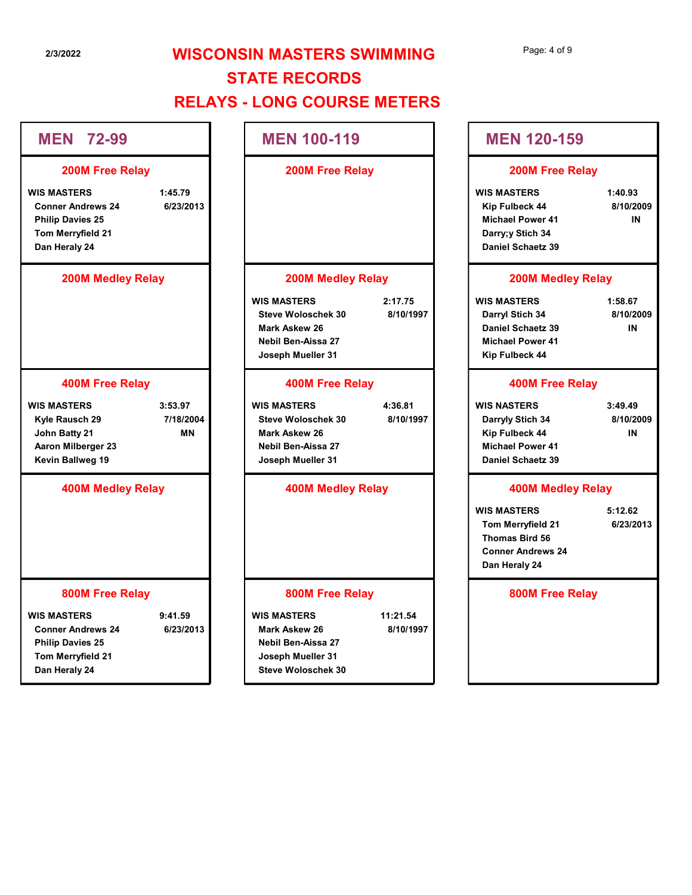# 2/3/2022 **WISCONSIN MASTERS SWIMMING** STATE RECORDS RELAYS - LONG COURSE METERS NEN 100-119<br>
MEN 100-119<br>
200M Free Relay<br>
200M Free Relay<br>
200M Free Relay<br>
200M Free Relay<br>
200M Free Relay<br>
200M Free Relay<br>
200M Free Relay<br>
200M Free Relay<br>
200M Free Relay<br>
200M Medley Relay<br>
200M Medley Relay<br>
200M

### 200M Medley Relay

Steve Woloschek 30 8/10/1997 Darryl Stich 34 8/10/2009 Mark Askew 26 Daniel Schaetz 39 Nebil Ben-Aissa 27 Michael Power 41 Joseph Mueller 31 Kip Fulbeck 44 Page: 4 of 9<br>
MEN 120-159<br>
200M Free Relay<br>
WIS MASTERS 1:40.93<br>
Kip Fulbeck 44 8/10/2009<br>
Michael Power 41<br>
Daniel Schaetz 39<br>
200M Medley Relay<br>
WIS MASTERS 1:58.67<br>
Darryl Stich 34 8/10/2009<br>
Daniel Schaetz 39 IN<br>
Micha

#### 400M Free Relay

| <b>MEN 120-159</b>                                                                                              |                            |
|-----------------------------------------------------------------------------------------------------------------|----------------------------|
| <b>200M Free Relay</b>                                                                                          |                            |
| <b>WIS MASTERS</b><br>Kip Fulbeck 44<br><b>Michael Power 41</b><br>Darry;y Stich 34<br><b>Daniel Schaetz 39</b> | 1:40.93<br>8/10/2009<br>IN |
| <b>200M Medley Relay</b>                                                                                        |                            |
| <b>WIS MASTERS</b><br>Darryl Stich 34<br><b>Daniel Schaetz 39</b><br><b>Michael Power 41</b><br>Kip Fulbeck 44  | 1:58.67<br>8/10/2009<br>IN |
| <b>400M Free Relay</b>                                                                                          |                            |
| <b>WIS NASTERS</b><br>Darryly Stich 34<br>Kip Fulbeck 44<br><b>Michael Power 41</b><br>Daniel Schaetz 39        | 3:49.49<br>8/10/2009<br>IN |
| <b>400M Medley Relay</b>                                                                                        |                            |
| <b>WIS MASTERS</b><br>Tom Merryfield 21<br><b>Thomas Bird 56</b><br><b>Conner Andrews 24</b><br>Dan Heraly 24   | 5:12.62<br>6/23/2013       |

### 400M Medley Relay

| 72-99<br><b>MEN</b>                                                                                             |                                   | <b>MEN 100-119</b>                                                                                                        |                       | <b>MEN 120-159</b>                                                                                              |                            |
|-----------------------------------------------------------------------------------------------------------------|-----------------------------------|---------------------------------------------------------------------------------------------------------------------------|-----------------------|-----------------------------------------------------------------------------------------------------------------|----------------------------|
| 200M Free Relay                                                                                                 |                                   | 200M Free Relay                                                                                                           |                       | 200M Free Relay                                                                                                 |                            |
| <b>WIS MASTERS</b><br><b>Conner Andrews 24</b><br><b>Philip Davies 25</b><br>Tom Merryfield 21<br>Dan Heraly 24 | 1:45.79<br>6/23/2013              |                                                                                                                           |                       | <b>WIS MASTERS</b><br>Kip Fulbeck 44<br><b>Michael Power 41</b><br>Darry;y Stich 34<br><b>Daniel Schaetz 39</b> | 1:40.93<br>8/10/2009<br>IN |
| <b>200M Medley Relay</b>                                                                                        |                                   | <b>200M Medley Relay</b>                                                                                                  |                       | <b>200M Medley Relay</b>                                                                                        |                            |
|                                                                                                                 |                                   | <b>WIS MASTERS</b><br><b>Steve Woloschek 30</b><br><b>Mark Askew 26</b><br><b>Nebil Ben-Aissa 27</b><br>Joseph Mueller 31 | 2:17.75<br>8/10/1997  | <b>WIS MASTERS</b><br>Darryl Stich 34<br><b>Daniel Schaetz 39</b><br><b>Michael Power 41</b><br>Kip Fulbeck 44  | 1:58.67<br>8/10/2009<br>IN |
| <b>400M Free Relay</b>                                                                                          |                                   | <b>400M Free Relay</b>                                                                                                    |                       | <b>400M Free Relay</b>                                                                                          |                            |
| <b>WIS MASTERS</b><br>Kyle Rausch 29<br>John Batty 21<br>Aaron Milberger 23<br><b>Kevin Ballweg 19</b>          | 3:53.97<br>7/18/2004<br><b>MN</b> | <b>WIS MASTERS</b><br><b>Steve Woloschek 30</b><br><b>Mark Askew 26</b><br><b>Nebil Ben-Aissa 27</b><br>Joseph Mueller 31 | 4:36.81<br>8/10/1997  | <b>WIS NASTERS</b><br>Darryly Stich 34<br>Kip Fulbeck 44<br><b>Michael Power 41</b><br><b>Daniel Schaetz 39</b> | 3:49.49<br>8/10/2009<br>IN |
| <b>400M Medley Relay</b>                                                                                        |                                   | <b>400M Medley Relay</b>                                                                                                  |                       | <b>400M Medley Relay</b>                                                                                        |                            |
|                                                                                                                 |                                   |                                                                                                                           |                       | <b>WIS MASTERS</b><br>Tom Merryfield 21<br><b>Thomas Bird 56</b><br><b>Conner Andrews 24</b><br>Dan Heraly 24   | 5:12.62<br>6/23/2013       |
| 800M Free Relay                                                                                                 |                                   | 800M Free Relay                                                                                                           |                       | 800M Free Relay                                                                                                 |                            |
| <b>WIS MASTERS</b><br><b>Conner Andrews 24</b><br><b>Philip Davies 25</b><br>Tom Merryfield 21<br>Dan Heraly 24 | 9:41.59<br>6/23/2013              | <b>WIS MASTERS</b><br>Mark Askew 26<br><b>Nebil Ben-Aissa 27</b><br>Joseph Mueller 31<br><b>Steve Woloschek 30</b>        | 11:21.54<br>8/10/1997 |                                                                                                                 |                            |
|                                                                                                                 |                                   |                                                                                                                           |                       |                                                                                                                 |                            |

#### 800M Free Relay

## Darry;y Stich 34 Daniel Schaetz 39

# Mark Askew 26 n-Aissa 27 lueller 31 Mark Askew 26<br>
Nebul Ben-Aissa 27<br>
Joseph Mueller 31<br>
WIS MASTERS<br>
WIS MASTERS<br>
MODI Free Relay<br>
Musican Aissa 27<br>
Nebul Ben-Aissa 27<br>
Musican Aissa 27<br>
Musican Aissa 27<br>
Musican Aissa 27<br>
400M Medley Relay<br>
Musican Aissa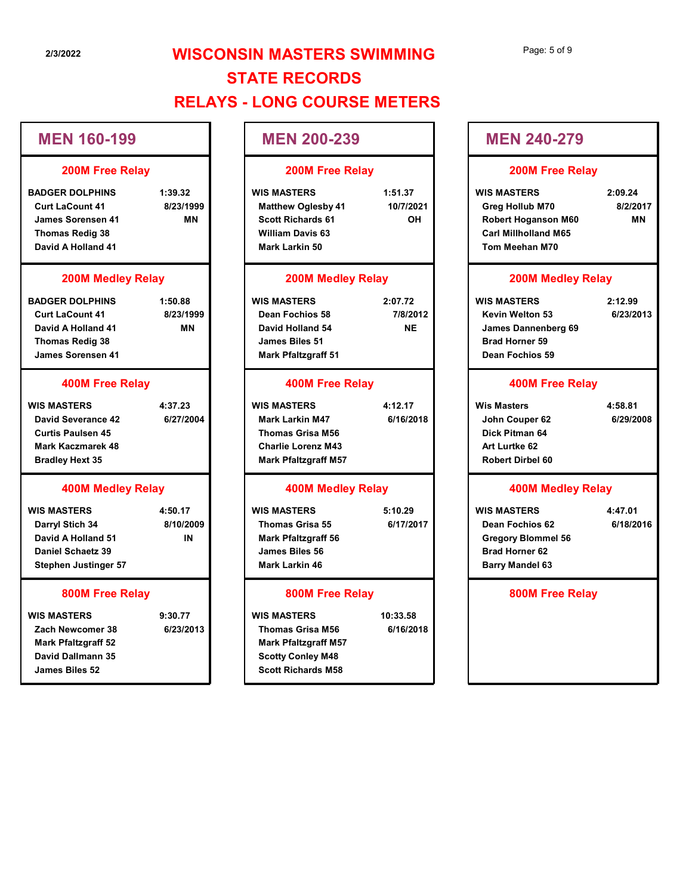## MEN 160-199

#### 200M Free Relay

#### 200M Medley Relay

#### 400M Free Relay

#### 400M Medley Relay

#### 800M Free Relay

| 2/3/2022                                                                                                                     |                                   | <b>WISCONSIN MASTERS SWIMMING</b><br><b>STATE RECORDS</b>                                                                             |                                  | Page: 5 of 9                                                                                                          |                                  |
|------------------------------------------------------------------------------------------------------------------------------|-----------------------------------|---------------------------------------------------------------------------------------------------------------------------------------|----------------------------------|-----------------------------------------------------------------------------------------------------------------------|----------------------------------|
|                                                                                                                              |                                   | <b>RELAYS - LONG COURSE METERS</b>                                                                                                    |                                  |                                                                                                                       |                                  |
| <b>MEN 160-199</b>                                                                                                           |                                   | <b>MEN 200-239</b>                                                                                                                    |                                  | <b>MEN 240-279</b>                                                                                                    |                                  |
| <b>200M Free Relay</b>                                                                                                       |                                   | 200M Free Relay                                                                                                                       |                                  | <b>200M Free Relay</b>                                                                                                |                                  |
| <b>BADGER DOLPHINS</b><br><b>Curt LaCount 41</b><br><b>James Sorensen 41</b><br><b>Thomas Redig 38</b><br>David A Holland 41 | 1:39.32<br>8/23/1999<br><b>MN</b> | <b>WIS MASTERS</b><br><b>Matthew Oglesby 41</b><br><b>Scott Richards 61</b><br><b>William Davis 63</b><br>Mark Larkin 50              | 1:51.37<br>10/7/2021<br>OH       | <b>WIS MASTERS</b><br>Greg Hollub M70<br><b>Robert Hoganson M60</b><br><b>Carl Millholland M65</b><br>Tom Meehan M70  | 2:09.24<br>8/2/2017<br><b>MN</b> |
| <b>200M Medley Relay</b>                                                                                                     |                                   | <b>200M Medley Relay</b>                                                                                                              |                                  | <b>200M Medley Relay</b>                                                                                              |                                  |
| <b>BADGER DOLPHINS</b><br><b>Curt LaCount 41</b><br>David A Holland 41<br><b>Thomas Redig 38</b><br><b>James Sorensen 41</b> | 1:50.88<br>8/23/1999<br><b>MN</b> | <b>WIS MASTERS</b><br>Dean Fochios 58<br>David Holland 54<br><b>James Biles 51</b><br><b>Mark Pfaltzgraff 51</b>                      | 2:07.72<br>7/8/2012<br><b>NE</b> | <b>WIS MASTERS</b><br>Kevin Welton 53<br>James Dannenberg 69<br><b>Brad Horner 59</b><br>Dean Fochios 59              | 2:12.99<br>6/23/2013             |
| <b>400M Free Relay</b>                                                                                                       |                                   | <b>400M Free Relay</b>                                                                                                                |                                  | <b>400M Free Relay</b>                                                                                                |                                  |
| <b>WIS MASTERS</b><br>David Severance 42<br><b>Curtis Paulsen 45</b><br><b>Mark Kaczmarek 48</b><br><b>Bradley Hext 35</b>   | 4:37.23<br>6/27/2004              | <b>WIS MASTERS</b><br><b>Mark Larkin M47</b><br><b>Thomas Grisa M56</b><br><b>Charlie Lorenz M43</b><br><b>Mark Pfaltzgraff M57</b>   | 4:12.17<br>6/16/2018             | <b>Wis Masters</b><br>John Couper 62<br>Dick Pitman 64<br>Art Lurtke 62<br><b>Robert Dirbel 60</b>                    | 4:58.81<br>6/29/2008             |
| <b>400M Medley Relay</b>                                                                                                     |                                   | <b>400M Medley Relay</b>                                                                                                              |                                  | <b>400M Medley Relay</b>                                                                                              |                                  |
| <b>WIS MASTERS</b><br>Darryl Stich 34<br>David A Holland 51<br><b>Daniel Schaetz 39</b><br><b>Stephen Justinger 57</b>       | 4:50.17<br>8/10/2009<br>IN        | <b>WIS MASTERS</b><br><b>Thomas Grisa 55</b><br><b>Mark Pfaltzgraff 56</b><br>James Biles 56<br>Mark Larkin 46                        | 5:10.29<br>6/17/2017             | <b>WIS MASTERS</b><br>Dean Fochios 62<br><b>Gregory Blommel 56</b><br><b>Brad Horner 62</b><br><b>Barry Mandel 63</b> | 4:47.01<br>6/18/2016             |
| 800M Free Relay                                                                                                              |                                   | 800M Free Relay                                                                                                                       |                                  | 800M Free Relay                                                                                                       |                                  |
| WIS MASTERS<br>Zach Newcomer 38<br><b>Mark Pfaltzgraff 52</b><br>David Dallmann 35<br>James Biles 52                         | 9:30.77<br>6/23/2013              | <b>WIS MASTERS</b><br><b>Thomas Grisa M56</b><br><b>Mark Pfaltzgraff M57</b><br><b>Scotty Conley M48</b><br><b>Scott Richards M58</b> | 10:33.58<br>6/16/2018            |                                                                                                                       |                                  |
|                                                                                                                              |                                   |                                                                                                                                       |                                  |                                                                                                                       |                                  |

## MEN 240-279

### 200M Free Relay

WIS MASTERS 1:51.37 WIS MASTERS 2:09.24 Matthew Oglesby 41 10/7/2021 Greg Hollub M70 8/2/2017 Scott Richards 61 OH Robert Hoganson M60 William Davis 63 Carl Millholland M65 Mark Larkin 50 Tom Meehan M70 Page: 5 of 9<br>
MEN 240-279<br>
200M Free Relay<br>
WIS MASTERS<br>
Greg Hollub M70 8/2/2017<br>
Robert Hoganson M60 MN<br>
Carl Millholland M65<br>
Tom Meehan M70<br>
200M Medley Relay<br>
WIS MASTERS 2:12.99<br>
Kevin Welton 53 6/23/2013<br>
James Dann MN

| <b>MEN 240-279</b>                                                                                                    |                                  |
|-----------------------------------------------------------------------------------------------------------------------|----------------------------------|
| <b>200M Free Relay</b>                                                                                                |                                  |
| <b>WIS MASTERS</b><br>Greg Hollub M70<br>Robert Hoganson M60<br><b>Carl Millholland M65</b><br>Tom Meehan M70         | 2:09.24<br>8/2/2017<br><b>MN</b> |
| <b>200M Medley Relay</b>                                                                                              |                                  |
| <b>WIS MASTERS</b><br>Kevin Welton 53<br><b>James Dannenberg 69</b><br><b>Brad Horner 59</b><br>Dean Fochios 59       | 2:12.99<br>6/23/2013             |
| <b>400M Free Relay</b>                                                                                                |                                  |
| Wis Masters<br>John Couper 62<br>Dick Pitman 64<br>Art Lurtke 62<br><b>Robert Dirbel 60</b>                           | 4:58.81<br>6/29/2008             |
| <b>400M Medley Relay</b>                                                                                              |                                  |
| <b>WIS MASTERS</b><br>Dean Fochios 62<br><b>Gregory Blommel 56</b><br><b>Brad Horner 62</b><br><b>Barry Mandel 63</b> | 4:47.01<br>6/18/2016             |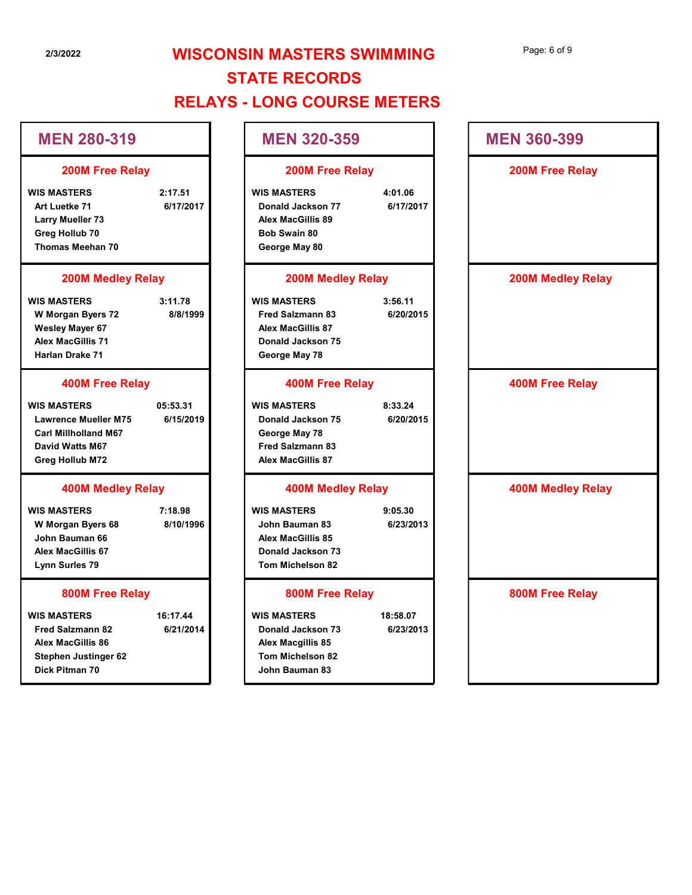| 2/3/2022                                                                                                                                        | <b>WISCONSIN MASTERS SWIMMING</b><br><b>STATE RECORDS</b>                                                       |                       |                          |  |  |
|-------------------------------------------------------------------------------------------------------------------------------------------------|-----------------------------------------------------------------------------------------------------------------|-----------------------|--------------------------|--|--|
|                                                                                                                                                 | <b>RELAYS - LONG COURSE METERS</b>                                                                              |                       |                          |  |  |
| <b>MEN 280-319</b>                                                                                                                              | <b>MEN 320-359</b>                                                                                              |                       | <b>MEN 360-399</b>       |  |  |
| <b>200M Free Relay</b>                                                                                                                          | 200M Free Relay                                                                                                 |                       | 200M Free Relay          |  |  |
| <b>WIS MASTERS</b><br>2:17.51<br>6/17/2017<br>Art Luetke 71<br><b>Larry Mueller 73</b><br>Greg Hollub 70<br>Thomas Meehan 70                    | <b>WIS MASTERS</b><br>Donald Jackson 77<br><b>Alex MacGillis 89</b><br><b>Bob Swain 80</b><br>George May 80     | 4:01.06<br>6/17/2017  |                          |  |  |
| <b>200M Medley Relay</b>                                                                                                                        | <b>200M Medley Relay</b>                                                                                        |                       | <b>200M Medley Relay</b> |  |  |
| <b>WIS MASTERS</b><br>3:11.78<br>8/8/1999<br>W Morgan Byers 72<br><b>Wesley Mayer 67</b><br><b>Alex MacGillis 71</b><br>Harlan Drake 71         | <b>WIS MASTERS</b><br><b>Fred Salzmann 83</b><br><b>Alex MacGillis 87</b><br>Donald Jackson 75<br>George May 78 | 3:56.11<br>6/20/2015  |                          |  |  |
| <b>400M Free Relay</b>                                                                                                                          | <b>400M Free Relay</b>                                                                                          |                       | <b>400M Free Relay</b>   |  |  |
| <b>WIS MASTERS</b><br>05:53.31<br>6/15/2019<br><b>Lawrence Mueller M75</b><br><b>Carl Millholland M67</b><br>David Watts M67<br>Greg Hollub M72 | <b>WIS MASTERS</b><br>Donald Jackson 75<br>George May 78<br><b>Fred Salzmann 83</b><br><b>Alex MacGillis 87</b> | 8:33.24<br>6/20/2015  |                          |  |  |
| <b>400M Medley Relay</b>                                                                                                                        | <b>400M Medley Relay</b>                                                                                        |                       | <b>400M Medley Relay</b> |  |  |
| <b>WIS MASTERS</b><br>7:18.98<br>8/10/1996<br>W Morgan Byers 68<br>John Bauman 66<br><b>Alex MacGillis 67</b><br>Lynn Surles 79                 | <b>WIS MASTERS</b><br>John Bauman 83<br><b>Alex MacGillis 85</b><br>Donald Jackson 73<br>Tom Michelson 82       | 9:05.30<br>6/23/2013  |                          |  |  |
| 800M Free Relay                                                                                                                                 | 800M Free Relay                                                                                                 |                       | 800M Free Relay          |  |  |
| <b>WIS MASTERS</b><br>16:17.44<br>6/21/2014<br><b>Fred Salzmann 82</b><br>Alex MacGillis 86<br><b>Stephen Justinger 62</b>                      | <b>WIS MASTERS</b><br>Donald Jackson 73<br>Alex Macgillis 85<br>Tom Michelson 82                                | 18:58.07<br>6/23/2013 |                          |  |  |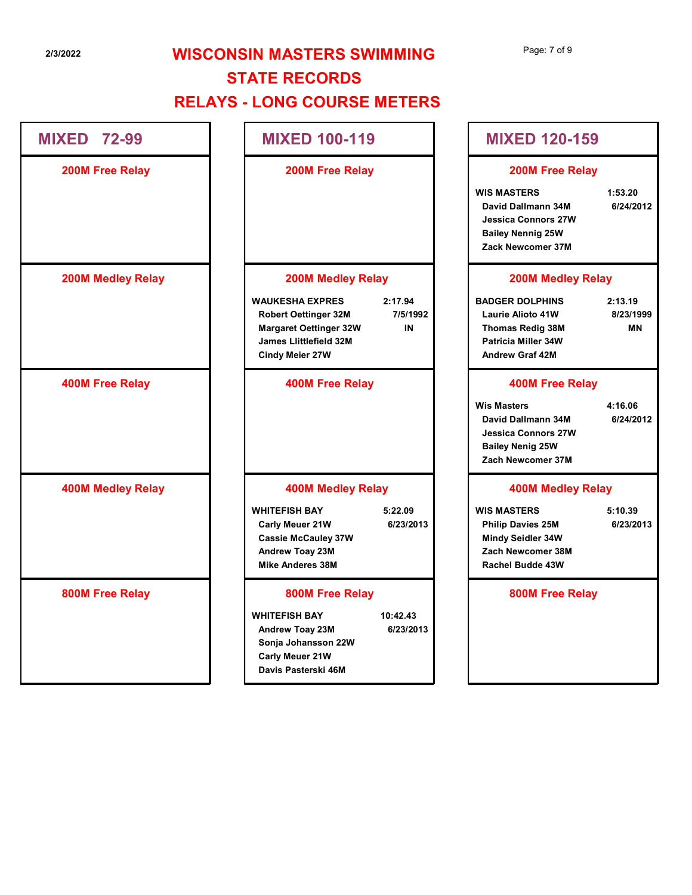MIXED 72-99

200M Free Relay

200M Medley Relay

400M Free Relay

# 2/3/2022 **WISCONSIN MASTERS SWIMMING** STATE RECORDS RELAYS - LONG COURSE METERS N MASTERS SWIMMING<br>
200M Free Relay<br>
200M Free Relay<br>
200M Free Relay<br>
200M Free Relay<br>
200M Free Relay<br>
200M Free Relay<br>
200M Medley Relay<br>
200M Medley Relay<br>
200M Medley Relay<br>
200M Medley Relay<br>
200M Medley Relay<br>
200M

MIXED 100-119

200M Free Relay

MIXED 120-159

200M Free Relay

WIS MASTERS 1:53.20

David Dallmann 34M 6/24/2012 Jessica Connors 27W Bailey Nennig 25W Zack Newcomer 37M

### 200M Medley Relay

Robert Oettinger 32M 7/5/1992 | Laurie Alioto 41W 8/23/1999 Cindy Meier 27W Andrew Graf 42M IN Thomas Redig 38M Page: 7 of 9<br>
MIXED 120-159<br>
200M Free Relay<br>
WIS MASTERS<br>
David Dallmann 34M<br>
Jesica Connors 27W<br>
Bailey Nennig 25W<br>
Zack Newcomer 37M<br>
200M Medley Relay<br>
BADGER DOLPHINS<br>
200M Medley Relay<br>
BADGER DOLPHINS<br>
2:13.19<br>
Laur Laurie Alioto 41W Patricia Miller 34W

MN

### 400M Free Relay

MIXED 120-159<br>
200M Free Relay<br>
WIS MASTERS 1:53.20<br>
David Dallmann 34M 6/24/2012<br>
Jessica Connors 27W<br>
Bailey Nennig 25W<br>
Zack Newcomer 37M<br>
200M Medley Relay<br>
BADGER DOLPHINS 2:13.19<br>
Laurie Alioto 41W 8/23/1999<br>
Thomas David Dallmann 34M 6/24/2012 Jessica Connors 27W Bailey Nenig 25W Zach Newcomer 37M Jessica Connors 27W<br>
Bailey Nennig 25W<br>
Zack Newcomer 37M<br>
200M Medley Relay<br>
BADGER DOLPHINS 2:13.19<br>
Laurie Alioto 41W 8/23/1999<br>
Thomas Redig 38M MN<br>
Patricia Miller 34W<br>
Andrew Graf 42M<br>
400M Free Relay<br>
Wis Masters 4:

## 400M Medley Relay

Mindy Seidler 34W Rachel Budde 43W

800M Free Relay

400M Medley Relay

800M Free Relay

USesica Connors 27W<br>
MARRIS 2000M Medley Relay<br>
WAUKESHA EXPRES<br>
Nobert Oettinger 32M<br>
MARGARE SERVES 2:17.94<br>
Margaret Oettinger 32M<br>
Margaret Oettinger 32M<br>
Margaret Oettinger 32M<br>
Margaret Oettinger 32M<br>
Margaret Oettin Margaret Oettinger 32W<br>
James Littlefield 22M<br>
400M Free Relay<br>
400M Free Relay<br>
400M Medley Relay<br>
WHITEFISH BAY<br>
400M Medley Relay<br>
400M Medley Relay<br>
400M Medley Relay<br>
400M Medley Relay<br>
400M Medley Relay<br>
400M Medley

Margaret Oettinger 32W

400M Free Relay

200M Medley Relay

James Llittlefield 32M

## 400M Medley Relay

Carly Meuer 21W 6/23/2013 Philip Davies 25M 6/23/2013 Cassie McCauley 37W Andrew Toay 23M Zach Newcomer 38M Mike Anderes 38M

## 800M Free Relay

Andrew Toay 23M Sonja Johansson 22W Carly Meuer 21W Davis Pasterski 46M

6/23/2013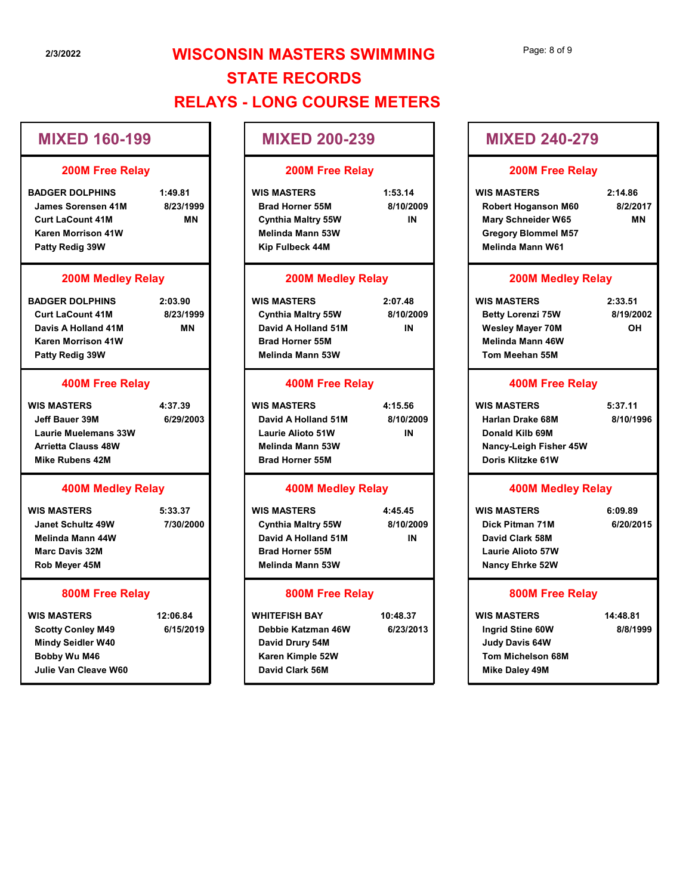## MIXED 160-199

#### 200M Free Relay

#### 200M Medley Relay

# 400M Free Relay

#### 400M Medley Relay

#### 800M Free Relay

#### 200M Free Relay

### 200M Medley Relay

#### 400M Free Relay

#### 400M Medley Relay

## 800M Free Relay

| 2/3/2022                                                                                                                           |                                   | <b>WISCONSIN MASTERS SWIMMING</b>                                                                                           |                            | Page: 8 of 9                                                                                                                    |                                  |  |
|------------------------------------------------------------------------------------------------------------------------------------|-----------------------------------|-----------------------------------------------------------------------------------------------------------------------------|----------------------------|---------------------------------------------------------------------------------------------------------------------------------|----------------------------------|--|
|                                                                                                                                    |                                   | <b>STATE RECORDS</b>                                                                                                        |                            |                                                                                                                                 |                                  |  |
|                                                                                                                                    |                                   | <b>RELAYS - LONG COURSE METERS</b>                                                                                          |                            |                                                                                                                                 |                                  |  |
| <b>MIXED 160-199</b>                                                                                                               |                                   | <b>MIXED 200-239</b>                                                                                                        |                            | <b>MIXED 240-279</b>                                                                                                            |                                  |  |
| 200M Free Relay                                                                                                                    |                                   | <b>200M Free Relay</b>                                                                                                      |                            | 200M Free Relay                                                                                                                 |                                  |  |
| <b>BADGER DOLPHINS</b><br>James Sorensen 41M<br><b>Curt LaCount 41M</b><br>Karen Morrison 41W<br>Patty Redig 39W                   | 1:49.81<br>8/23/1999<br><b>MN</b> | <b>WIS MASTERS</b><br><b>Brad Horner 55M</b><br>Cynthia Maltry 55W<br><b>Melinda Mann 53W</b><br>Kip Fulbeck 44M            | 1:53.14<br>8/10/2009<br>IN | <b>WIS MASTERS</b><br>Robert Hoganson M60<br><b>Mary Schneider W65</b><br><b>Gregory Blommel M57</b><br><b>Melinda Mann W61</b> | 2:14.86<br>8/2/2017<br><b>MN</b> |  |
| <b>200M Medley Relay</b>                                                                                                           |                                   |                                                                                                                             | <b>200M Medley Relay</b>   |                                                                                                                                 | <b>200M Medley Relay</b>         |  |
| <b>BADGER DOLPHINS</b><br><b>Curt LaCount 41M</b><br>Davis A Holland 41M<br><b>Karen Morrison 41W</b><br>Patty Redig 39W           | 2:03.90<br>8/23/1999<br><b>MN</b> | <b>WIS MASTERS</b><br><b>Cynthia Maltry 55W</b><br>David A Holland 51M<br><b>Brad Horner 55M</b><br><b>Melinda Mann 53W</b> | 2:07.48<br>8/10/2009<br>IN | <b>WIS MASTERS</b><br><b>Betty Lorenzi 75W</b><br><b>Wesley Mayer 70M</b><br><b>Melinda Mann 46W</b><br>Tom Meehan 55M          | 2:33.51<br>8/19/2002<br>OH       |  |
| <b>400M Free Relay</b>                                                                                                             |                                   | <b>400M Free Relay</b>                                                                                                      |                            | <b>400M Free Relay</b>                                                                                                          |                                  |  |
| <b>WIS MASTERS</b><br><b>Jeff Bauer 39M</b><br><b>Laurie Muelemans 33W</b><br><b>Arrietta Clauss 48W</b><br><b>Mike Rubens 42M</b> | 4:37.39<br>6/29/2003              | <b>WIS MASTERS</b><br>David A Holland 51M<br>Laurie Alioto 51W<br>Melinda Mann 53W<br><b>Brad Horner 55M</b>                | 4:15.56<br>8/10/2009<br>IN | <b>WIS MASTERS</b><br><b>Harlan Drake 68M</b><br>Donald Kilb 69M<br>Nancy-Leigh Fisher 45W<br>Doris Klitzke 61W                 | 5:37.11<br>8/10/1996             |  |
| <b>400M Medley Relay</b>                                                                                                           |                                   | <b>400M Medley Relay</b>                                                                                                    |                            | <b>400M Medley Relay</b>                                                                                                        |                                  |  |
| <b>WIS MASTERS</b><br><b>Janet Schultz 49W</b><br>Melinda Mann 44W<br><b>Marc Davis 32M</b><br>Rob Meyer 45M                       | 5:33.37<br>7/30/2000              | <b>WIS MASTERS</b><br><b>Cynthia Maltry 55W</b><br>David A Holland 51M<br><b>Brad Horner 55M</b><br><b>Melinda Mann 53W</b> | 4:45.45<br>8/10/2009<br>IN | <b>WIS MASTERS</b><br>Dick Pitman 71M<br>David Clark 58M<br>Laurie Alioto 57W<br>Nancy Ehrke 52W                                | 6:09.89<br>6/20/2015             |  |
| 800M Free Relay                                                                                                                    |                                   | 800M Free Relay                                                                                                             |                            | 800M Free Relay                                                                                                                 |                                  |  |
| <b>WIS MASTERS</b><br><b>Scotty Conley M49</b><br><b>Mindy Seidler W40</b><br>Bobby Wu M46<br>Julie Van Cleave W60                 | 12:06.84<br>6/15/2019             | <b>WHITEFISH BAY</b><br>Debbie Katzman 46W<br>David Drury 54M<br>Karen Kimple 52W<br>David Clark 56M                        | 10:48.37<br>6/23/2013      | <b>WIS MASTERS</b><br>Ingrid Stine 60W<br><b>Judy Davis 64W</b><br>Tom Michelson 68M<br><b>Mike Daley 49M</b>                   | 14:48.81<br>8/8/1999             |  |
|                                                                                                                                    |                                   |                                                                                                                             |                            |                                                                                                                                 |                                  |  |